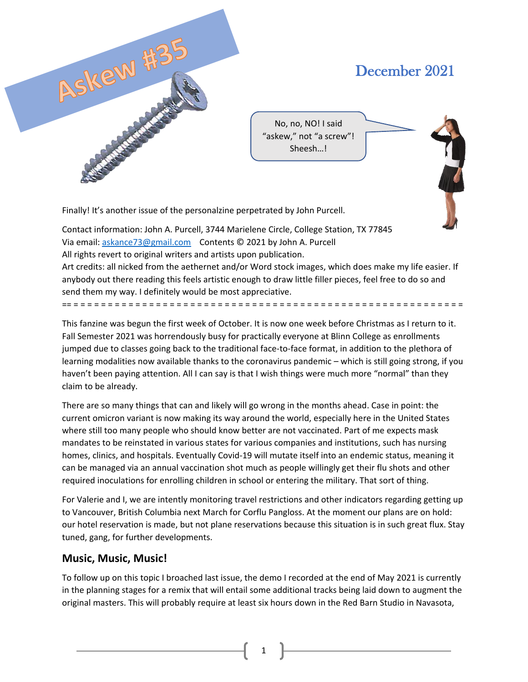

# December 2021

No, no, NO! I said "askew," not "a screw"! Sheesh…!

Finally! It's another issue of the personalzine perpetrated by John Purcell.

Contact information: John A. Purcell, 3744 Marielene Circle, College Station, TX 77845 Via email: askance73@gmail.com Contents © 2021 by John A. Purcell All rights revert to original writers and artists upon publication. Art credits: all nicked from the aethernet and/or Word stock images, which does make my life easier. If

anybody out there reading this feels artistic enough to draw little filler pieces, feel free to do so and send them my way. I definitely would be most appreciative.

== = = = = = = = = = = = = = = = = = = = = = = = = = = = = = = = = = = = = = = = = = = = = = = = = = = = = = = = = =

This fanzine was begun the first week of October. It is now one week before Christmas as I return to it. Fall Semester 2021 was horrendously busy for practically everyone at Blinn College as enrollments jumped due to classes going back to the traditional face-to-face format, in addition to the plethora of learning modalities now available thanks to the coronavirus pandemic – which is still going strong, if you haven't been paying attention. All I can say is that I wish things were much more "normal" than they claim to be already.

There are so many things that can and likely will go wrong in the months ahead. Case in point: the current omicron variant is now making its way around the world, especially here in the United States where still too many people who should know better are not vaccinated. Part of me expects mask mandates to be reinstated in various states for various companies and institutions, such has nursing homes, clinics, and hospitals. Eventually Covid-19 will mutate itself into an endemic status, meaning it can be managed via an annual vaccination shot much as people willingly get their flu shots and other required inoculations for enrolling children in school or entering the military. That sort of thing.

For Valerie and I, we are intently monitoring travel restrictions and other indicators regarding getting up to Vancouver, British Columbia next March for Corflu Pangloss. At the moment our plans are on hold: our hotel reservation is made, but not plane reservations because this situation is in such great flux. Stay tuned, gang, for further developments.

# **Music, Music, Music!**

To follow up on this topic I broached last issue, the demo I recorded at the end of May 2021 is currently in the planning stages for a remix that will entail some additional tracks being laid down to augment the original masters. This will probably require at least six hours down in the Red Barn Studio in Navasota,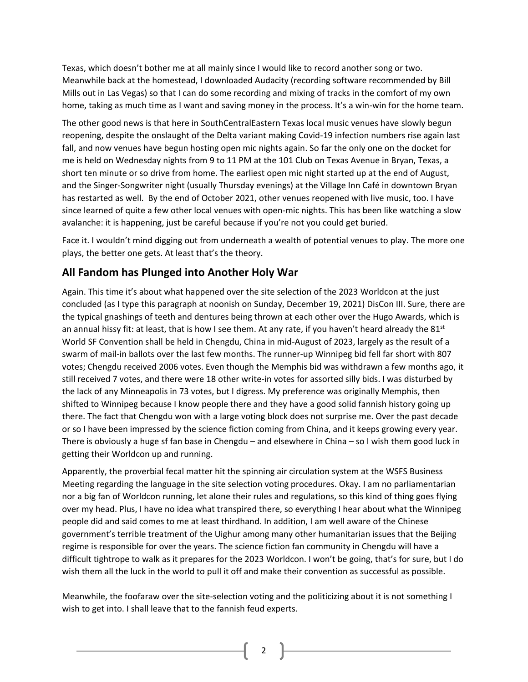Texas, which doesn't bother me at all mainly since I would like to record another song or two. Meanwhile back at the homestead, I downloaded Audacity (recording software recommended by Bill Mills out in Las Vegas) so that I can do some recording and mixing of tracks in the comfort of my own home, taking as much time as I want and saving money in the process. It's a win-win for the home team.

The other good news is that here in SouthCentralEastern Texas local music venues have slowly begun reopening, despite the onslaught of the Delta variant making Covid-19 infection numbers rise again last fall, and now venues have begun hosting open mic nights again. So far the only one on the docket for me is held on Wednesday nights from 9 to 11 PM at the 101 Club on Texas Avenue in Bryan, Texas, a short ten minute or so drive from home. The earliest open mic night started up at the end of August, and the Singer-Songwriter night (usually Thursday evenings) at the Village Inn Café in downtown Bryan has restarted as well. By the end of October 2021, other venues reopened with live music, too. I have since learned of quite a few other local venues with open-mic nights. This has been like watching a slow avalanche: it is happening, just be careful because if you're not you could get buried.

Face it. I wouldn't mind digging out from underneath a wealth of potential venues to play. The more one plays, the better one gets. At least that's the theory.

# **All Fandom has Plunged into Another Holy War**

Again. This time it's about what happened over the site selection of the 2023 Worldcon at the just concluded (as I type this paragraph at noonish on Sunday, December 19, 2021) DisCon III. Sure, there are the typical gnashings of teeth and dentures being thrown at each other over the Hugo Awards, which is an annual hissy fit: at least, that is how I see them. At any rate, if you haven't heard already the  $81^{st}$ World SF Convention shall be held in Chengdu, China in mid-August of 2023, largely as the result of a swarm of mail-in ballots over the last few months. The runner-up Winnipeg bid fell far short with 807 votes; Chengdu received 2006 votes. Even though the Memphis bid was withdrawn a few months ago, it still received 7 votes, and there were 18 other write-in votes for assorted silly bids. I was disturbed by the lack of any Minneapolis in 73 votes, but I digress. My preference was originally Memphis, then shifted to Winnipeg because I know people there and they have a good solid fannish history going up there. The fact that Chengdu won with a large voting block does not surprise me. Over the past decade or so I have been impressed by the science fiction coming from China, and it keeps growing every year. There is obviously a huge sf fan base in Chengdu – and elsewhere in China – so I wish them good luck in getting their Worldcon up and running.

Apparently, the proverbial fecal matter hit the spinning air circulation system at the WSFS Business Meeting regarding the language in the site selection voting procedures. Okay. I am no parliamentarian nor a big fan of Worldcon running, let alone their rules and regulations, so this kind of thing goes flying over my head. Plus, I have no idea what transpired there, so everything I hear about what the Winnipeg people did and said comes to me at least thirdhand. In addition, I am well aware of the Chinese government's terrible treatment of the Uighur among many other humanitarian issues that the Beijing regime is responsible for over the years. The science fiction fan community in Chengdu will have a difficult tightrope to walk as it prepares for the 2023 Worldcon. I won't be going, that's for sure, but I do wish them all the luck in the world to pull it off and make their convention as successful as possible.

Meanwhile, the foofaraw over the site-selection voting and the politicizing about it is not something I wish to get into. I shall leave that to the fannish feud experts.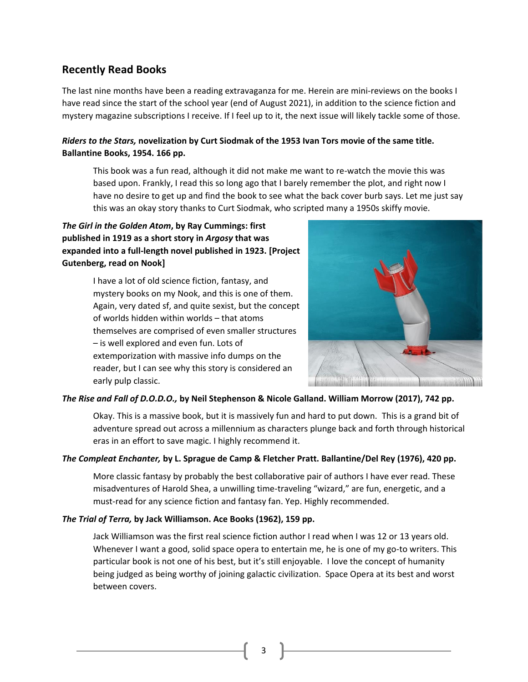# **Recently Read Books**

The last nine months have been a reading extravaganza for me. Herein are mini-reviews on the books I have read since the start of the school year (end of August 2021), in addition to the science fiction and mystery magazine subscriptions I receive. If I feel up to it, the next issue will likely tackle some of those.

## *Riders to the Stars,* **novelization by Curt Siodmak of the 1953 Ivan Tors movie of the same title. Ballantine Books, 1954. 166 pp.**

This book was a fun read, although it did not make me want to re-watch the movie this was based upon. Frankly, I read this so long ago that I barely remember the plot, and right now I have no desire to get up and find the book to see what the back cover burb says. Let me just say this was an okay story thanks to Curt Siodmak, who scripted many a 1950s skiffy movie.

## *The Girl in the Golden Atom***, by Ray Cummings: first published in 1919 as a short story in** *Argosy* **that was expanded into a full-length novel published in 1923. [Project Gutenberg, read on Nook]**

I have a lot of old science fiction, fantasy, and mystery books on my Nook, and this is one of them. Again, very dated sf, and quite sexist, but the concept of worlds hidden within worlds – that atoms themselves are comprised of even smaller structures – is well explored and even fun. Lots of extemporization with massive info dumps on the reader, but I can see why this story is considered an early pulp classic.



### *The Rise and Fall of D.O.D.O.,* **by Neil Stephenson & Nicole Galland. William Morrow (2017), 742 pp.**

Okay. This is a massive book, but it is massively fun and hard to put down. This is a grand bit of adventure spread out across a millennium as characters plunge back and forth through historical eras in an effort to save magic. I highly recommend it.

### *The Compleat Enchanter,* **by L. Sprague de Camp & Fletcher Pratt. Ballantine/Del Rey (1976), 420 pp.**

More classic fantasy by probably the best collaborative pair of authors I have ever read. These misadventures of Harold Shea, a unwilling time-traveling "wizard," are fun, energetic, and a must-read for any science fiction and fantasy fan. Yep. Highly recommended.

### *The Trial of Terra,* **by Jack Williamson. Ace Books (1962), 159 pp.**

Jack Williamson was the first real science fiction author I read when I was 12 or 13 years old. Whenever I want a good, solid space opera to entertain me, he is one of my go-to writers. This particular book is not one of his best, but it's still enjoyable. I love the concept of humanity being judged as being worthy of joining galactic civilization. Space Opera at its best and worst between covers.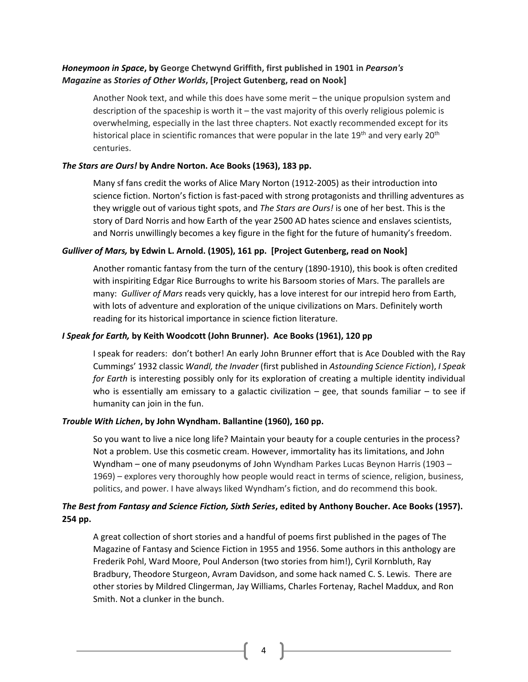## *Honeymoon in Space***, by George Chetwynd Griffith, first published in 1901 in** *Pearson's Magazine* **as** *Stories of Other Worlds***, [Project Gutenberg, read on Nook]**

Another Nook text, and while this does have some merit – the unique propulsion system and description of the spaceship is worth it – the vast majority of this overly religious polemic is overwhelming, especially in the last three chapters. Not exactly recommended except for its historical place in scientific romances that were popular in the late 19<sup>th</sup> and very early 20<sup>th</sup> centuries.

### *The Stars are Ours!* **by Andre Norton. Ace Books (1963), 183 pp.**

Many sf fans credit the works of Alice Mary Norton (1912-2005) as their introduction into science fiction. Norton's fiction is fast-paced with strong protagonists and thrilling adventures as they wriggle out of various tight spots, and *The Stars are Ours!* is one of her best. This is the story of Dard Norris and how Earth of the year 2500 AD hates science and enslaves scientists, and Norris unwillingly becomes a key figure in the fight for the future of humanity's freedom.

### *Gulliver of Mars,* **by Edwin L. Arnold. (1905), 161 pp. [Project Gutenberg, read on Nook]**

Another romantic fantasy from the turn of the century (1890-1910), this book is often credited with inspiriting Edgar Rice Burroughs to write his Barsoom stories of Mars. The parallels are many: *Gulliver of Mars* reads very quickly, has a love interest for our intrepid hero from Earth, with lots of adventure and exploration of the unique civilizations on Mars. Definitely worth reading for its historical importance in science fiction literature.

### *I Speak for Earth,* **by Keith Woodcott (John Brunner). Ace Books (1961), 120 pp**

I speak for readers: don't bother! An early John Brunner effort that is Ace Doubled with the Ray Cummings' 1932 classic *Wandl, the Invader* (first published in *Astounding Science Fiction*), *I Speak for Earth* is interesting possibly only for its exploration of creating a multiple identity individual who is essentially am emissary to a galactic civilization  $-$  gee, that sounds familiar  $-$  to see if humanity can join in the fun.

### *Trouble With Lichen***, by John Wyndham. Ballantine (1960), 160 pp.**

So you want to live a nice long life? Maintain your beauty for a couple centuries in the process? Not a problem. Use this cosmetic cream. However, immortality has its limitations, and John Wyndham – one of many pseudonyms of John Wyndham Parkes Lucas Beynon Harris (1903 – 1969) – explores very thoroughly how people would react in terms of science, religion, business, politics, and power. I have always liked Wyndham's fiction, and do recommend this book.

## *The Best from Fantasy and Science Fiction, Sixth Series***, edited by Anthony Boucher. Ace Books (1957). 254 pp.**

A great collection of short stories and a handful of poems first published in the pages of The Magazine of Fantasy and Science Fiction in 1955 and 1956. Some authors in this anthology are Frederik Pohl, Ward Moore, Poul Anderson (two stories from him!), Cyril Kornbluth, Ray Bradbury, Theodore Sturgeon, Avram Davidson, and some hack named C. S. Lewis. There are other stories by Mildred Clingerman, Jay Williams, Charles Fortenay, Rachel Maddux, and Ron Smith. Not a clunker in the bunch.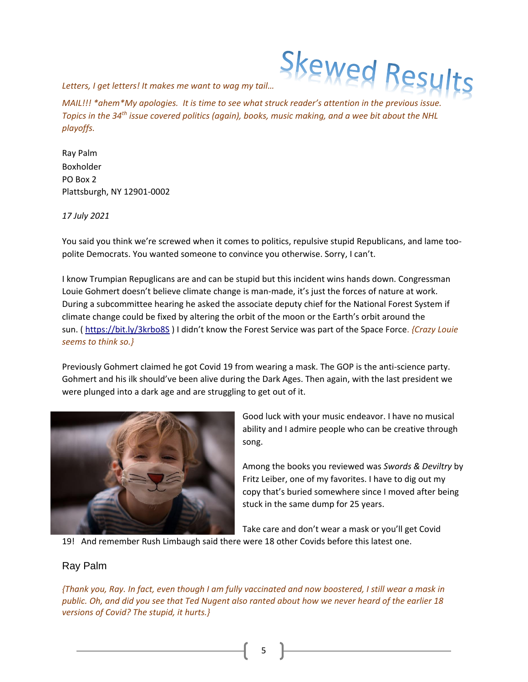

*Letters, I get letters! It makes me want to wag my tail…*

*MAIL!!!* \*ahem\*My apologies. It is time to see what struck reader's attention in the previous issue. *Topics in the 34th issue covered politics (again), books, music making, and a wee bit about the NHL playoffs.* 

Ray Palm Boxholder PO Box 2 Plattsburgh, NY 12901-0002

*17 July 2021*

You said you think we're screwed when it comes to politics, repulsive stupid Republicans, and lame toopolite Democrats. You wanted someone to convince you otherwise. Sorry, I can't.

I know Trumpian Repuglicans are and can be stupid but this incident wins hands down. Congressman Louie Gohmert doesn't believe climate change is man-made, it's just the forces of nature at work. During a subcommittee hearing he asked the associate deputy chief for the National Forest System if climate change could be fixed by altering the orbit of the moon or the Earth's orbit around the sun. ( https://bit.ly/3krbo8S ) I didn't know the Forest Service was part of the Space Force. *{Crazy Louie seems to think so.}*

Previously Gohmert claimed he got Covid 19 from wearing a mask. The GOP is the anti-science party. Gohmert and his ilk should've been alive during the Dark Ages. Then again, with the last president we were plunged into a dark age and are struggling to get out of it.



Good luck with your music endeavor. I have no musical ability and I admire people who can be creative through song.

Among the books you reviewed was *Swords & Deviltry* by Fritz Leiber, one of my favorites. I have to dig out my copy that's buried somewhere since I moved after being stuck in the same dump for 25 years.

Take care and don't wear a mask or you'll get Covid

19! And remember Rush Limbaugh said there were 18 other Covids before this latest one.

## Ray Palm

*{Thank you, Ray. In fact, even though I am fully vaccinated and now boostered, I still wear a mask in public. Oh, and did you see that Ted Nugent also ranted about how we never heard of the earlier 18 versions of Covid? The stupid, it hurts.}*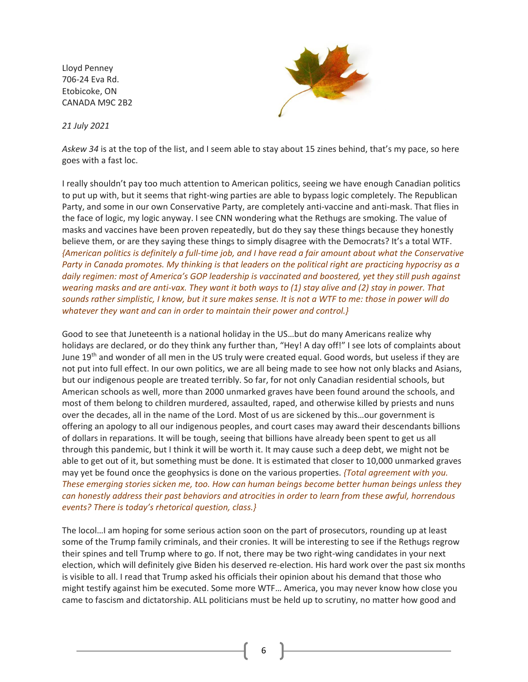Lloyd Penney 706-24 Eva Rd. Etobicoke, ON CANADA M9C 2B2

*21 July 2021*



*Askew 34* is at the top of the list, and I seem able to stay about 15 zines behind, that's my pace, so here goes with a fast loc.

I really shouldn't pay too much attention to American politics, seeing we have enough Canadian politics to put up with, but it seems that right-wing parties are able to bypass logic completely. The Republican Party, and some in our own Conservative Party, are completely anti-vaccine and anti-mask. That flies in the face of logic, my logic anyway. I see CNN wondering what the Rethugs are smoking. The value of masks and vaccines have been proven repeatedly, but do they say these things because they honestly believe them, or are they saying these things to simply disagree with the Democrats? It's a total WTF. *{American politics is definitely a full-time job, and I have read a fair amount about what the Conservative Party in Canada promotes. My thinking is that leaders on the political right are practicing hypocrisy as a daily regimen: most of America's GOP leadership is vaccinated and boostered, yet they still push against wearing masks and are anti-vax. They want it both ways to (1) stay alive and (2) stay in power. That sounds rather simplistic, I know, but it sure makes sense. It is not a WTF to me: those in power will do whatever they want and can in order to maintain their power and control.}*

Good to see that Juneteenth is a national holiday in the US…but do many Americans realize why holidays are declared, or do they think any further than, "Hey! A day off!" I see lots of complaints about June 19<sup>th</sup> and wonder of all men in the US truly were created equal. Good words, but useless if they are not put into full effect. In our own politics, we are all being made to see how not only blacks and Asians, but our indigenous people are treated terribly. So far, for not only Canadian residential schools, but American schools as well, more than 2000 unmarked graves have been found around the schools, and most of them belong to children murdered, assaulted, raped, and otherwise killed by priests and nuns over the decades, all in the name of the Lord. Most of us are sickened by this…our government is offering an apology to all our indigenous peoples, and court cases may award their descendants billions of dollars in reparations. It will be tough, seeing that billions have already been spent to get us all through this pandemic, but I think it will be worth it. It may cause such a deep debt, we might not be able to get out of it, but something must be done. It is estimated that closer to 10,000 unmarked graves may yet be found once the geophysics is done on the various properties. *{Total agreement with you. These emerging stories sicken me, too. How can human beings become better human beings unless they can honestly address their past behaviors and atrocities in order to learn from these awful, horrendous events? There is today's rhetorical question, class.}*

The locol…I am hoping for some serious action soon on the part of prosecutors, rounding up at least some of the Trump family criminals, and their cronies. It will be interesting to see if the Rethugs regrow their spines and tell Trump where to go. If not, there may be two right-wing candidates in your next election, which will definitely give Biden his deserved re-election. His hard work over the past six months is visible to all. I read that Trump asked his officials their opinion about his demand that those who might testify against him be executed. Some more WTF… America, you may never know how close you came to fascism and dictatorship. ALL politicians must be held up to scrutiny, no matter how good and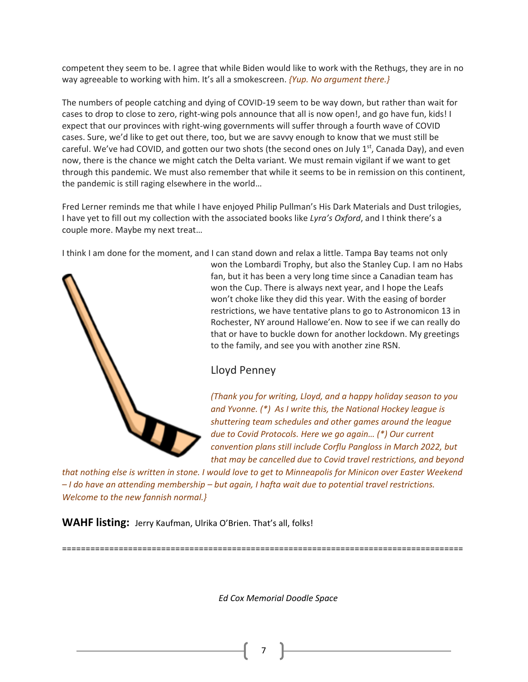competent they seem to be. I agree that while Biden would like to work with the Rethugs, they are in no way agreeable to working with him. It's all a smokescreen. *{Yup. No argument there.}*

The numbers of people catching and dying of COVID-19 seem to be way down, but rather than wait for cases to drop to close to zero, right-wing pols announce that all is now open!, and go have fun, kids! I expect that our provinces with right-wing governments will suffer through a fourth wave of COVID cases. Sure, we'd like to get out there, too, but we are savvy enough to know that we must still be careful. We've had COVID, and gotten our two shots (the second ones on July  $1<sup>st</sup>$ , Canada Day), and even now, there is the chance we might catch the Delta variant. We must remain vigilant if we want to get through this pandemic. We must also remember that while it seems to be in remission on this continent, the pandemic is still raging elsewhere in the world…

Fred Lerner reminds me that while I have enjoyed Philip Pullman's His Dark Materials and Dust trilogies, I have yet to fill out my collection with the associated books like *Lyra's Oxford*, and I think there's a couple more. Maybe my next treat…

I think I am done for the moment, and I can stand down and relax a little. Tampa Bay teams not only



won the Lombardi Trophy, but also the Stanley Cup. I am no Habs fan, but it has been a very long time since a Canadian team has won the Cup. There is always next year, and I hope the Leafs won't choke like they did this year. With the easing of border restrictions, we have tentative plans to go to Astronomicon 13 in Rochester, NY around Hallowe'en. Now to see if we can really do that or have to buckle down for another lockdown. My greetings to the family, and see you with another zine RSN.

# Lloyd Penney

*(Thank you for writing, Lloyd, and a happy holiday season to you and Yvonne. (\*) As I write this, the National Hockey league is shuttering team schedules and other games around the league due to Covid Protocols. Here we go again… (\*) Our current convention plans still include Corflu Pangloss in March 2022, but that may be cancelled due to Covid travel restrictions, and beyond* 

*that nothing else is written in stone. I would love to get to Minneapolis for Minicon over Easter Weekend – I do have an attending membership – but again, I hafta wait due to potential travel restrictions. Welcome to the new fannish normal.}*

=====================================================================================

**WAHF listing:** Jerry Kaufman, Ulrika O'Brien. That's all, folks!

*Ed Cox Memorial Doodle Space*